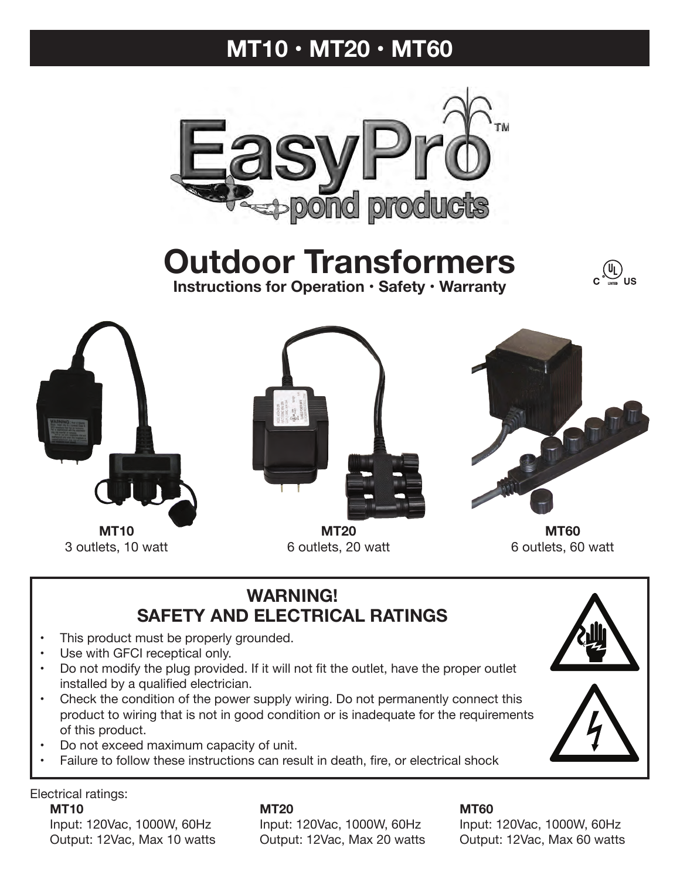# **MT10 • MT20 • MT60**



**Outdoor Transformers Instructions for Operation • Safety • Warranty**





3 outlets, 10 watt



**MT20** 6 outlets, 20 watt



**MT60** 6 outlets, 60 watt

## **WARNING! SAFETY AND ELECTRICAL RATINGS**

- This product must be properly grounded.
- Use with GFCI receptical only.
- Do not modify the plug provided. If it will not fit the outlet, have the proper outlet installed by a qualified electrician.
- Check the condition of the power supply wiring. Do not permanently connect this product to wiring that is not in good condition or is inadequate for the requirements of this product.
- Do not exceed maximum capacity of unit.
- Failure to follow these instructions can result in death, fire, or electrical shock

Electrical ratings:

 Input: 120Vac, 1000W, 60Hz Input: 120Vac, 1000W, 60Hz Input: 120Vac, 1000W, 60Hz Output: 12Vac, Max 10 watts Output: 12Vac, Max 20 watts Output: 12Vac, Max 60 watts

**MT10 MT20 MT60**